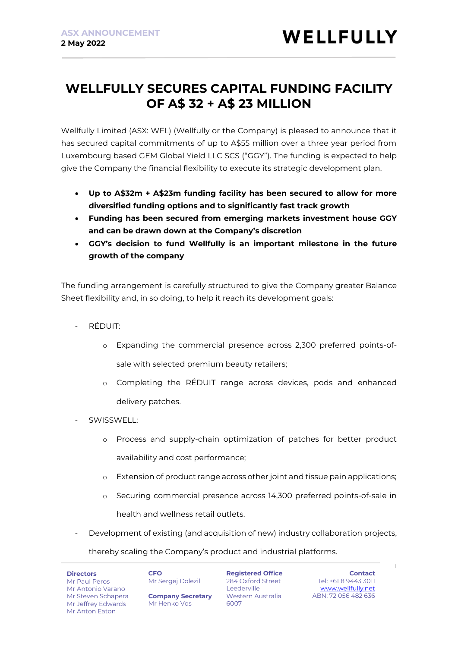## **WELLFULLY SECURES CAPITAL FUNDING FACILITY OF A\$ 32 + A\$ 23 MILLION**

Wellfully Limited (ASX: WFL) (Wellfully or the Company) is pleased to announce that it has secured capital commitments of up to A\$55 million over a three year period from Luxembourg based GEM Global Yield LLC SCS ("GGY"). The funding is expected to help give the Company the financial flexibility to execute its strategic development plan.

- **Up to A\$32m + A\$23m funding facility has been secured to allow for more diversified funding options and to significantly fast track growth**
- **Funding has been secured from emerging markets investment house GGY and can be drawn down at the Company's discretion**
- **GGY's decision to fund Wellfully is an important milestone in the future growth of the company**

The funding arrangement is carefully structured to give the Company greater Balance Sheet flexibility and, in so doing, to help it reach its development goals:

- RÉDUIT:
	- o Expanding the commercial presence across 2,300 preferred points-ofsale with selected premium beauty retailers;
	- o Completing the RÉDUIT range across devices, pods and enhanced delivery patches.
- SWISSWELL:
	- o Process and supply-chain optimization of patches for better product availability and cost performance;
	- o Extension of product range across other joint and tissue pain applications;
	- o Securing commercial presence across 14,300 preferred points-of-sale in health and wellness retail outlets.
- Development of existing (and acquisition of new) industry collaboration projects,

#### thereby scaling the Company's product and industrial platforms.

**Directors** Mr Paul Peros Mr Antonio Varano Mr Steven Schapera Mr Jeffrey Edwards Mr Anton Eaton

**CFO** Mr Sergej Dolezil

**Company Secretary** Mr Henko Vos

**Registered Office** 284 Oxford Street **Leederville** Western Australia 6007

1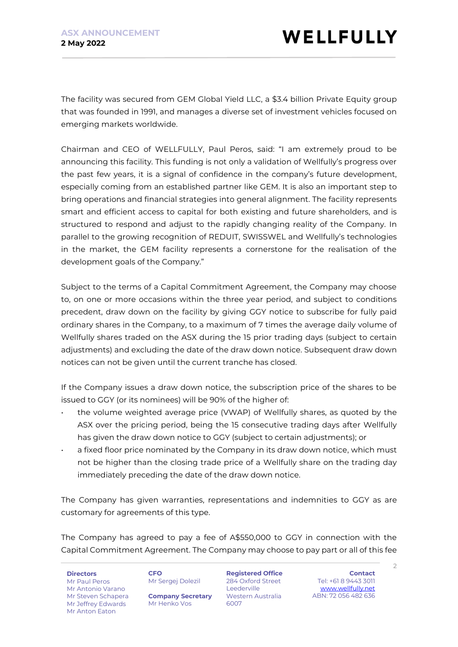The facility was secured from GEM Global Yield LLC, a \$3.4 billion Private Equity group that was founded in 1991, and manages a diverse set of investment vehicles focused on emerging markets worldwide.

Chairman and CEO of WELLFULLY, Paul Peros, said: "I am extremely proud to be announcing this facility. This funding is not only a validation of Wellfully's progress over the past few years, it is a signal of confidence in the company's future development, especially coming from an established partner like GEM. It is also an important step to bring operations and financial strategies into general alignment. The facility represents smart and efficient access to capital for both existing and future shareholders, and is structured to respond and adjust to the rapidly changing reality of the Company. In parallel to the growing recognition of REDUIT, SWISSWEL and Wellfully's technologies in the market, the GEM facility represents a cornerstone for the realisation of the development goals of the Company."

Subject to the terms of a Capital Commitment Agreement, the Company may choose to, on one or more occasions within the three year period, and subject to conditions precedent, draw down on the facility by giving GGY notice to subscribe for fully paid ordinary shares in the Company, to a maximum of 7 times the average daily volume of Wellfully shares traded on the ASX during the 15 prior trading days (subject to certain adjustments) and excluding the date of the draw down notice. Subsequent draw down notices can not be given until the current tranche has closed.

If the Company issues a draw down notice, the subscription price of the shares to be issued to GGY (or its nominees) will be 90% of the higher of:

- the volume weighted average price (VWAP) of Wellfully shares, as quoted by the ASX over the pricing period, being the 15 consecutive trading days after Wellfully has given the draw down notice to GGY (subject to certain adjustments); or
- a fixed floor price nominated by the Company in its draw down notice, which must not be higher than the closing trade price of a Wellfully share on the trading day immediately preceding the date of the draw down notice.

The Company has given warranties, representations and indemnities to GGY as are customary for agreements of this type.

The Company has agreed to pay a fee of A\$550,000 to GGY in connection with the Capital Commitment Agreement. The Company may choose to pay part or all of this fee

**Directors** Mr Paul Peros Mr Antonio Varano Mr Steven Schapera Mr Jeffrey Edwards Mr Anton Eaton

**CFO** Mr Sergej Dolezil

**Company Secretary** Mr Henko Vos

**Registered Office** 284 Oxford Street Leederville Western Australia 6007

**Contact** Tel: +61 8 9443 3011 [www.wellfully.net](http://www.wellfully.net/) ABN: 72 056 482 636

 $\mathcal{D}$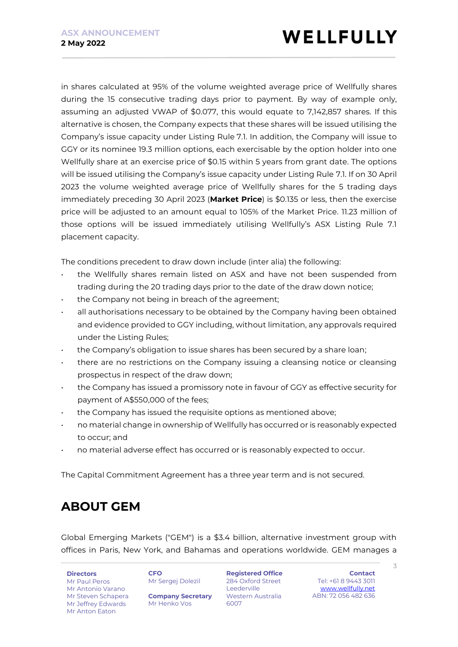in shares calculated at 95% of the volume weighted average price of Wellfully shares during the 15 consecutive trading days prior to payment. By way of example only, assuming an adjusted VWAP of \$0.077, this would equate to 7,142,857 shares. If this alternative is chosen, the Company expects that these shares will be issued utilising the Company's issue capacity under Listing Rule 7.1. In addition, the Company will issue to GGY or its nominee 19.3 million options, each exercisable by the option holder into one Wellfully share at an exercise price of \$0.15 within 5 years from grant date. The options will be issued utilising the Company's issue capacity under Listing Rule 7.1. If on 30 April 2023 the volume weighted average price of Wellfully shares for the 5 trading days immediately preceding 30 April 2023 (**Market Price**) is \$0.135 or less, then the exercise price will be adjusted to an amount equal to 105% of the Market Price. 11.23 million of those options will be issued immediately utilising Wellfully's ASX Listing Rule 7.1 placement capacity.

The conditions precedent to draw down include (inter alia) the following:

- the Wellfully shares remain listed on ASX and have not been suspended from trading during the 20 trading days prior to the date of the draw down notice;
- the Company not being in breach of the agreement;
- all authorisations necessary to be obtained by the Company having been obtained and evidence provided to GGY including, without limitation, any approvals required under the Listing Rules;
- the Company's obligation to issue shares has been secured by a share loan;
- there are no restrictions on the Company issuing a cleansing notice or cleansing prospectus in respect of the draw down;
- the Company has issued a promissory note in favour of GGY as effective security for payment of A\$550,000 of the fees;
- the Company has issued the requisite options as mentioned above;
- no material change in ownership of Wellfully has occurred or is reasonably expected to occur; and
- no material adverse effect has occurred or is reasonably expected to occur.

The Capital Commitment Agreement has a three year term and is not secured.

### **ABOUT GEM**

Global Emerging Markets ("GEM") is a \$3.4 billion, alternative investment group with offices in Paris, New York, and Bahamas and operations worldwide. GEM manages a

#### **Directors**

**CFO** Mr Sergej Dolezil

Mr Paul Peros Mr Antonio Varano Mr Steven Schapera Mr Jeffrey Edwards Mr Anton Eaton

**Company Secretary** Mr Henko Vos

**Registered Office** 284 Oxford Street Leederville Western Australia 6007

**Contact** Tel: +61 8 9443 3011 [www.wellfully.net](http://www.wellfully.net/) ABN: 72 056 482 636

 $\overline{\phantom{a}}$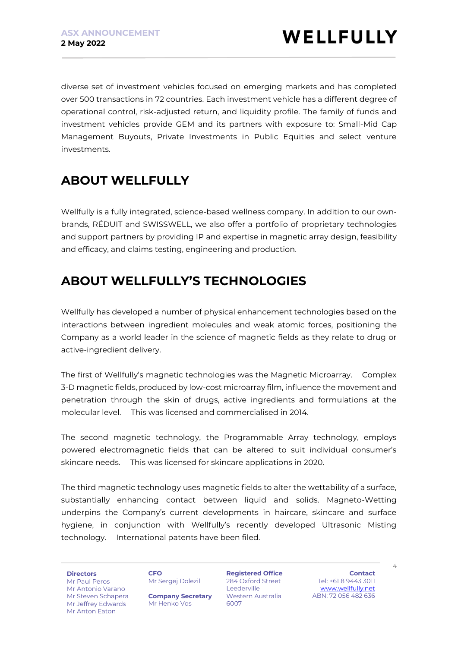diverse set of investment vehicles focused on emerging markets and has completed over 500 transactions in 72 countries. Each investment vehicle has a different degree of operational control, risk-adjusted return, and liquidity profile. The family of funds and investment vehicles provide GEM and its partners with exposure to: Small-Mid Cap Management Buyouts, Private Investments in Public Equities and select venture investments.

# **ABOUT WELLFULLY**

Wellfully is a fully integrated, science-based wellness company. In addition to our ownbrands, RÉDUIT and SWISSWELL, we also offer a portfolio of proprietary technologies and support partners by providing IP and expertise in magnetic array design, feasibility and efficacy, and claims testing, engineering and production.

# **ABOUT WELLFULLY'S TECHNOLOGIES**

Wellfully has developed a number of physical enhancement technologies based on the interactions between ingredient molecules and weak atomic forces, positioning the Company as a world leader in the science of magnetic fields as they relate to drug or active-ingredient delivery.

The first of Wellfully's magnetic technologies was the Magnetic Microarray. Complex 3-D magnetic fields, produced by low-cost microarray film, influence the movement and penetration through the skin of drugs, active ingredients and formulations at the molecular level. This was licensed and commercialised in 2014.

The second magnetic technology, the Programmable Array technology, employs powered electromagnetic fields that can be altered to suit individual consumer's skincare needs. This was licensed for skincare applications in 2020.

The third magnetic technology uses magnetic fields to alter the wettability of a surface, substantially enhancing contact between liquid and solids. Magneto-Wetting underpins the Company's current developments in haircare, skincare and surface hygiene, in conjunction with Wellfully's recently developed Ultrasonic Misting technology. International patents have been filed.

**Directors** Mr Paul Peros

Mr Jeffrey Edwards Mr Anton Eaton

**CFO** Mr Sergej Dolezil Mr Antonio Varano Mr Steven Schapera

**Company Secretary** Mr Henko Vos

**Registered Office** 284 Oxford Street Leederville Western Australia 6007

**Contact** Tel: +61 8 9443 3011 [www.wellfully.net](http://www.wellfully.net/) ABN: 72 056 482 636

 $\angle$